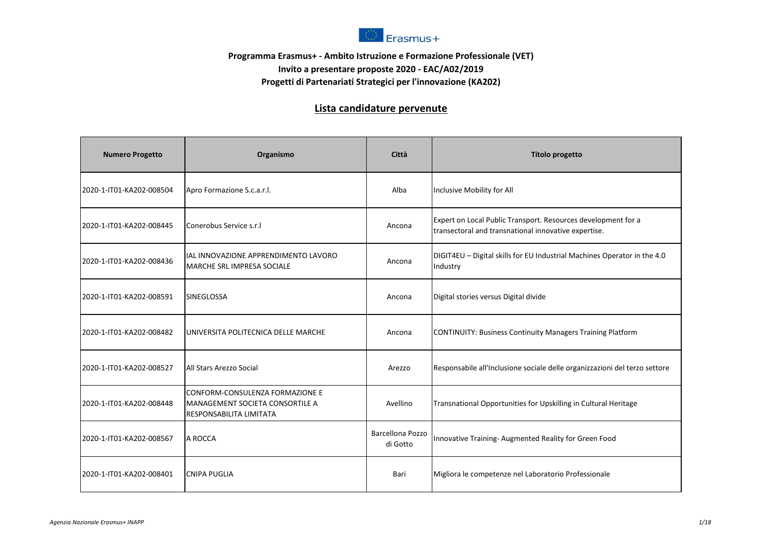

## **Programma Erasmus+ - Ambito Istruzione e Formazione Professionale (VET) Invito a presentare proposte 2020 - EAC/A02/2019 Progetti di Partenariati Strategici per l'innovazione (KA202)**

## **Lista candidature pervenute**

| <b>Numero Progetto</b>   | Organismo                                                                                                   | Città                        | <b>Titolo progetto</b>                                                                                                |
|--------------------------|-------------------------------------------------------------------------------------------------------------|------------------------------|-----------------------------------------------------------------------------------------------------------------------|
| 2020-1-IT01-KA202-008504 | Apro Formazione S.c.a.r.l.                                                                                  | Alba                         | Inclusive Mobility for All                                                                                            |
| 2020-1-IT01-KA202-008445 | Conerobus Service s.r.                                                                                      | Ancona                       | Expert on Local Public Transport. Resources development for a<br>transectoral and transnational innovative expertise. |
| 2020-1-IT01-KA202-008436 | IAL INNOVAZIONE APPRENDIMENTO LAVORO<br><b>MARCHE SRL IMPRESA SOCIALE</b>                                   | Ancona                       | DIGIT4EU - Digital skills for EU Industrial Machines Operator in the 4.0<br>Industry                                  |
| 2020-1-IT01-KA202-008591 | <b>SINEGLOSSA</b>                                                                                           | Ancona                       | Digital stories versus Digital divide                                                                                 |
| 2020-1-IT01-KA202-008482 | UNIVERSITA POLITECNICA DELLE MARCHE                                                                         | Ancona                       | CONTINUITY: Business Continuity Managers Training Platform                                                            |
| 2020-1-IT01-KA202-008527 | All Stars Arezzo Social                                                                                     | Arezzo                       | Responsabile all'Inclusione sociale delle organizzazioni del terzo settore                                            |
| 2020-1-IT01-KA202-008448 | <b>CONFORM-CONSULENZA FORMAZIONE E</b><br><b>MANAGEMENT SOCIETA CONSORTILE A</b><br>RESPONSABILITA LIMITATA | Avellino                     | Transnational Opportunities for Upskilling in Cultural Heritage                                                       |
| 2020-1-IT01-KA202-008567 | A ROCCA                                                                                                     | Barcellona Pozzo<br>di Gotto | Innovative Training- Augmented Reality for Green Food                                                                 |
| 2020-1-IT01-KA202-008401 | <b>CNIPA PUGLIA</b>                                                                                         | Bari                         | Migliora le competenze nel Laboratorio Professionale                                                                  |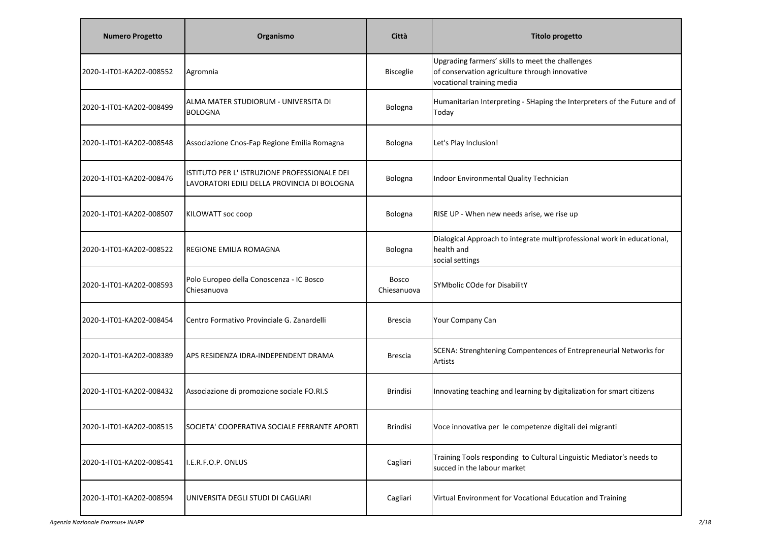| <b>Numero Progetto</b>   | Organismo                                                                                  | Città                       | <b>Titolo progetto</b>                                                                                                          |
|--------------------------|--------------------------------------------------------------------------------------------|-----------------------------|---------------------------------------------------------------------------------------------------------------------------------|
| 2020-1-IT01-KA202-008552 | Agromnia                                                                                   | <b>Bisceglie</b>            | Upgrading farmers' skills to meet the challenges<br>of conservation agriculture through innovative<br>vocational training media |
| 2020-1-IT01-KA202-008499 | ALMA MATER STUDIORUM - UNIVERSITA DI<br><b>BOLOGNA</b>                                     | Bologna                     | Humanitarian Interpreting - SHaping the Interpreters of the Future and of<br>Today                                              |
| 2020-1-IT01-KA202-008548 | Associazione Cnos-Fap Regione Emilia Romagna                                               | Bologna                     | Let's Play Inclusion!                                                                                                           |
| 2020-1-IT01-KA202-008476 | ISTITUTO PER L'ISTRUZIONE PROFESSIONALE DEI<br>LAVORATORI EDILI DELLA PROVINCIA DI BOLOGNA | Bologna                     | Indoor Environmental Quality Technician                                                                                         |
| 2020-1-IT01-KA202-008507 | KILOWATT soc coop                                                                          | Bologna                     | RISE UP - When new needs arise, we rise up                                                                                      |
| 2020-1-IT01-KA202-008522 | <b>REGIONE EMILIA ROMAGNA</b>                                                              | Bologna                     | Dialogical Approach to integrate multiprofessional work in educational,<br>health and<br>social settings                        |
| 2020-1-IT01-KA202-008593 | Polo Europeo della Conoscenza - IC Bosco<br>Chiesanuova                                    | <b>Bosco</b><br>Chiesanuova | SYMbolic COde for DisabilitY                                                                                                    |
| 2020-1-IT01-KA202-008454 | Centro Formativo Provinciale G. Zanardelli                                                 | <b>Brescia</b>              | Your Company Can                                                                                                                |
| 2020-1-IT01-KA202-008389 | APS RESIDENZA IDRA-INDEPENDENT DRAMA                                                       | <b>Brescia</b>              | SCENA: Strenghtening Compentences of Entrepreneurial Networks for<br>Artists                                                    |
| 2020-1-IT01-KA202-008432 | Associazione di promozione sociale FO.RI.S                                                 | <b>Brindisi</b>             | Innovating teaching and learning by digitalization for smart citizens                                                           |
| 2020-1-IT01-KA202-008515 | SOCIETA' COOPERATIVA SOCIALE FERRANTE APORTI                                               | <b>Brindisi</b>             | Voce innovativa per le competenze digitali dei migranti                                                                         |
| 2020-1-IT01-KA202-008541 | I.E.R.F.O.P. ONLUS                                                                         | Cagliari                    | Training Tools responding to Cultural Linguistic Mediator's needs to<br>succed in the labour market                             |
| 2020-1-IT01-KA202-008594 | UNIVERSITA DEGLI STUDI DI CAGLIARI                                                         | Cagliari                    | Virtual Environment for Vocational Education and Training                                                                       |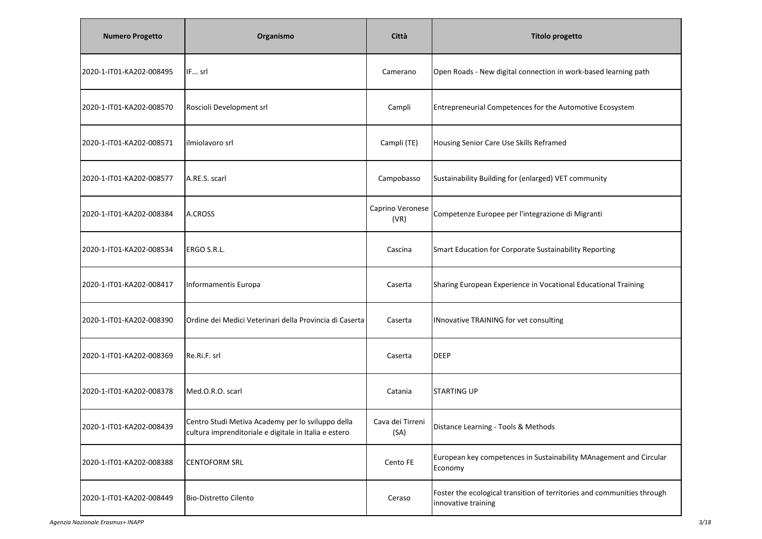| <b>Numero Progetto</b>   | Organismo                                                                                                  | Città                    | <b>Titolo progetto</b>                                                                         |
|--------------------------|------------------------------------------------------------------------------------------------------------|--------------------------|------------------------------------------------------------------------------------------------|
| 2020-1-IT01-KA202-008495 | IF srl                                                                                                     | Camerano                 | Open Roads - New digital connection in work-based learning path                                |
| 2020-1-IT01-KA202-008570 | Roscioli Development srl                                                                                   | Campli                   | Entrepreneurial Competences for the Automotive Ecosystem                                       |
| 2020-1-IT01-KA202-008571 | ilmiolavoro srl                                                                                            | Campli (TE)              | Housing Senior Care Use Skills Reframed                                                        |
| 2020-1-IT01-KA202-008577 | A.RE.S. scarl                                                                                              | Campobasso               | Sustainability Building for (enlarged) VET community                                           |
| 2020-1-IT01-KA202-008384 | A.CROSS                                                                                                    | Caprino Veronese<br>(VR) | Competenze Europee per l'integrazione di Migranti                                              |
| 2020-1-IT01-KA202-008534 | ERGO S.R.L.                                                                                                | Cascina                  | Smart Education for Corporate Sustainability Reporting                                         |
| 2020-1-IT01-KA202-008417 | Informamentis Europa                                                                                       | Caserta                  | Sharing European Experience in Vocational Educational Training                                 |
| 2020-1-IT01-KA202-008390 | Ordine dei Medici Veterinari della Provincia di Caserta                                                    | Caserta                  | INnovative TRAINING for vet consulting                                                         |
| 2020-1-IT01-KA202-008369 | Re.Ri.F. srl                                                                                               | Caserta                  | <b>DEEP</b>                                                                                    |
| 2020-1-IT01-KA202-008378 | Med.O.R.O. scarl                                                                                           | Catania                  | <b>STARTING UP</b>                                                                             |
| 2020-1-IT01-KA202-008439 | Centro Studi Metiva Academy per lo sviluppo della<br>cultura imprenditoriale e digitale in Italia e estero | Cava dei Tirreni<br>(SA) | Distance Learning - Tools & Methods                                                            |
| 2020-1-IT01-KA202-008388 | <b>CENTOFORM SRL</b>                                                                                       | Cento FE                 | European key competences in Sustainability MAnagement and Circular<br>Economy                  |
| 2020-1-IT01-KA202-008449 | <b>Bio-Distretto Cilento</b>                                                                               | Ceraso                   | Foster the ecological transition of territories and communities through<br>innovative training |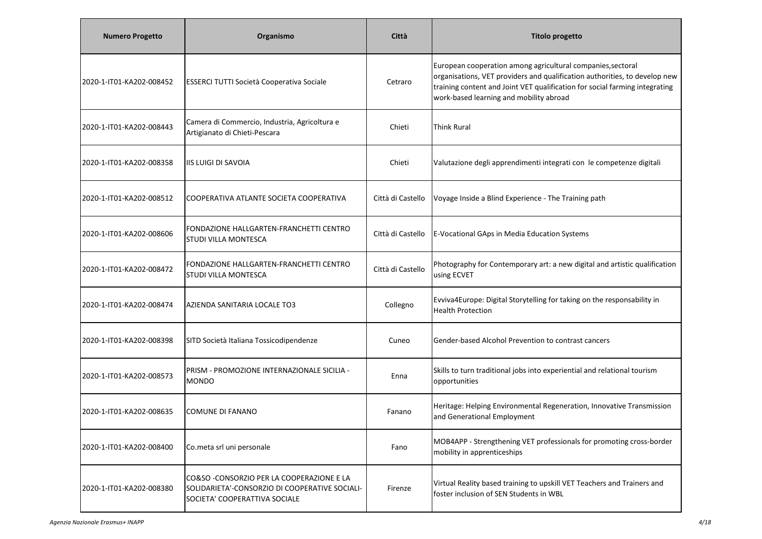| <b>Numero Progetto</b>   | Organismo                                                                                                                     | Città             | <b>Titolo progetto</b>                                                                                                                                                                                                                                              |
|--------------------------|-------------------------------------------------------------------------------------------------------------------------------|-------------------|---------------------------------------------------------------------------------------------------------------------------------------------------------------------------------------------------------------------------------------------------------------------|
| 2020-1-IT01-KA202-008452 | <b>ESSERCI TUTTI Società Cooperativa Sociale</b>                                                                              | Cetraro           | European cooperation among agricultural companies, sectoral<br>organisations, VET providers and qualification authorities, to develop new<br>training content and Joint VET qualification for social farming integrating<br>work-based learning and mobility abroad |
| 2020-1-IT01-KA202-008443 | Camera di Commercio, Industria, Agricoltura e<br>Artigianato di Chieti-Pescara                                                | Chieti            | <b>Think Rural</b>                                                                                                                                                                                                                                                  |
| 2020-1-IT01-KA202-008358 | <b>IIS LUIGI DI SAVOIA</b>                                                                                                    | Chieti            | Valutazione degli apprendimenti integrati con le competenze digitali                                                                                                                                                                                                |
| 2020-1-IT01-KA202-008512 | ICOOPERATIVA ATLANTE SOCIETA COOPERATIVA                                                                                      | Città di Castello | Voyage Inside a Blind Experience - The Training path                                                                                                                                                                                                                |
| 2020-1-IT01-KA202-008606 | FONDAZIONE HALLGARTEN-FRANCHETTI CENTRO<br><b>STUDI VILLA MONTESCA</b>                                                        | Città di Castello | E-Vocational GAps in Media Education Systems                                                                                                                                                                                                                        |
| 2020-1-IT01-KA202-008472 | FONDAZIONE HALLGARTEN-FRANCHETTI CENTRO<br><b>STUDI VILLA MONTESCA</b>                                                        | Città di Castello | Photography for Contemporary art: a new digital and artistic qualification<br>using ECVET                                                                                                                                                                           |
| 2020-1-IT01-KA202-008474 | AZIENDA SANITARIA LOCALE TO3                                                                                                  | Collegno          | Evviva4Europe: Digital Storytelling for taking on the responsability in<br><b>Health Protection</b>                                                                                                                                                                 |
| 2020-1-IT01-KA202-008398 | SITD Società Italiana Tossicodipendenze                                                                                       | Cuneo             | Gender-based Alcohol Prevention to contrast cancers                                                                                                                                                                                                                 |
| 2020-1-IT01-KA202-008573 | PRISM - PROMOZIONE INTERNAZIONALE SICILIA -<br><b>MONDO</b>                                                                   | Enna              | Skills to turn traditional jobs into experiential and relational tourism<br>opportunities                                                                                                                                                                           |
| 2020-1-IT01-KA202-008635 | COMUNE DI FANANO                                                                                                              | Fanano            | Heritage: Helping Environmental Regeneration, Innovative Transmission<br>and Generational Employment                                                                                                                                                                |
| 2020-1-IT01-KA202-008400 | Co.meta srl uni personale                                                                                                     | Fano              | MOB4APP - Strengthening VET professionals for promoting cross-border<br>mobility in apprenticeships                                                                                                                                                                 |
| 2020-1-IT01-KA202-008380 | CO&SO - CONSORZIO PER LA COOPERAZIONE E LA<br>SOLIDARIETA'-CONSORZIO DI COOPERATIVE SOCIALI-<br>SOCIETA' COOPERATTIVA SOCIALE | Firenze           | Virtual Reality based training to upskill VET Teachers and Trainers and<br>foster inclusion of SEN Students in WBL                                                                                                                                                  |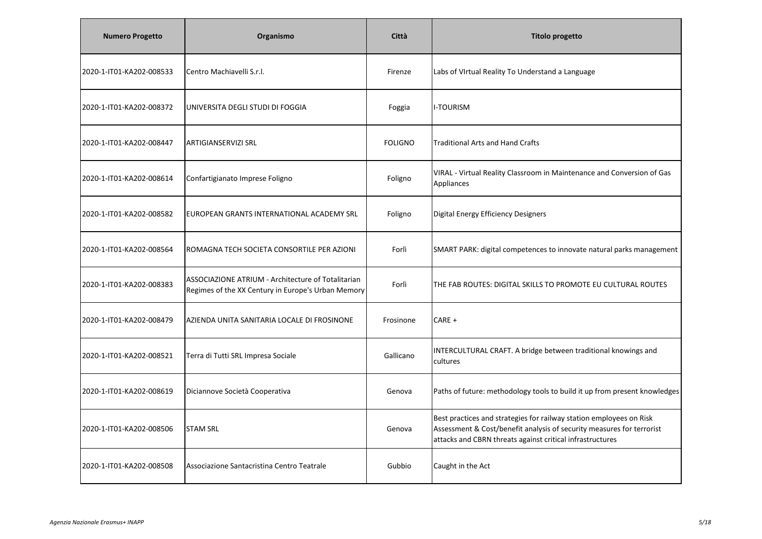| <b>Numero Progetto</b>   | Organismo                                                                                                | Città          | <b>Titolo progetto</b>                                                                                                                                                                                    |
|--------------------------|----------------------------------------------------------------------------------------------------------|----------------|-----------------------------------------------------------------------------------------------------------------------------------------------------------------------------------------------------------|
| 2020-1-IT01-KA202-008533 | Centro Machiavelli S.r.l.                                                                                | Firenze        | Labs of VIrtual Reality To Understand a Language                                                                                                                                                          |
| 2020-1-IT01-KA202-008372 | UNIVERSITA DEGLI STUDI DI FOGGIA                                                                         | Foggia         | I-TOURISM                                                                                                                                                                                                 |
| 2020-1-IT01-KA202-008447 | <b>ARTIGIANSERVIZI SRL</b>                                                                               | <b>FOLIGNO</b> | <b>Traditional Arts and Hand Crafts</b>                                                                                                                                                                   |
| 2020-1-IT01-KA202-008614 | Confartigianato Imprese Foligno                                                                          | Foligno        | VIRAL - Virtual Reality Classroom in Maintenance and Conversion of Gas<br>Appliances                                                                                                                      |
| 2020-1-IT01-KA202-008582 | EUROPEAN GRANTS INTERNATIONAL ACADEMY SRL                                                                | Foligno        | Digital Energy Efficiency Designers                                                                                                                                                                       |
| 2020-1-IT01-KA202-008564 | ROMAGNA TECH SOCIETA CONSORTILE PER AZIONI                                                               | Forlì          | SMART PARK: digital competences to innovate natural parks management                                                                                                                                      |
| 2020-1-IT01-KA202-008383 | ASSOCIAZIONE ATRIUM - Architecture of Totalitarian<br>Regimes of the XX Century in Europe's Urban Memory | Forlì          | THE FAB ROUTES: DIGITAL SKILLS TO PROMOTE EU CULTURAL ROUTES                                                                                                                                              |
| 2020-1-IT01-KA202-008479 | AZIENDA UNITA SANITARIA LOCALE DI FROSINONE                                                              | Frosinone      | CARE +                                                                                                                                                                                                    |
| 2020-1-IT01-KA202-008521 | Terra di Tutti SRL Impresa Sociale                                                                       | Gallicano      | INTERCULTURAL CRAFT. A bridge between traditional knowings and<br>cultures                                                                                                                                |
| 2020-1-IT01-KA202-008619 | Diciannove Società Cooperativa                                                                           | Genova         | Paths of future: methodology tools to build it up from present knowledges                                                                                                                                 |
| 2020-1-IT01-KA202-008506 | <b>STAM SRL</b>                                                                                          | Genova         | Best practices and strategies for railway station employees on Risk<br>Assessment & Cost/benefit analysis of security measures for terrorist<br>attacks and CBRN threats against critical infrastructures |
| 2020-1-IT01-KA202-008508 | Associazione Santacristina Centro Teatrale                                                               | Gubbio         | Caught in the Act                                                                                                                                                                                         |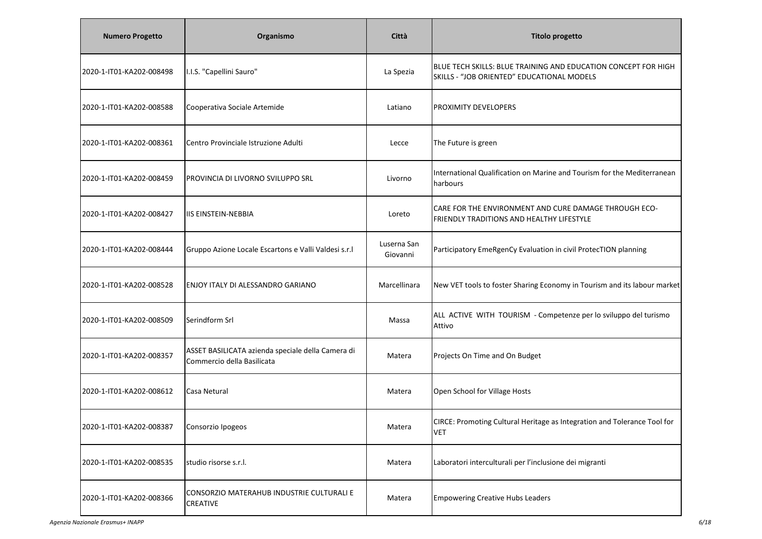| <b>Numero Progetto</b>   | Organismo                                                                       | Città                   | <b>Titolo progetto</b>                                                                                       |
|--------------------------|---------------------------------------------------------------------------------|-------------------------|--------------------------------------------------------------------------------------------------------------|
| 2020-1-IT01-KA202-008498 | I.I.S. "Capellini Sauro"                                                        | La Spezia               | BLUE TECH SKILLS: BLUE TRAINING AND EDUCATION CONCEPT FOR HIGH<br>SKILLS - "JOB ORIENTED" EDUCATIONAL MODELS |
| 2020-1-IT01-KA202-008588 | Cooperativa Sociale Artemide                                                    | Latiano                 | PROXIMITY DEVELOPERS                                                                                         |
| 2020-1-IT01-KA202-008361 | Centro Provinciale Istruzione Adulti                                            | Lecce                   | The Future is green                                                                                          |
| 2020-1-IT01-KA202-008459 | PROVINCIA DI LIVORNO SVILUPPO SRL                                               | Livorno                 | International Qualification on Marine and Tourism for the Mediterranean<br>harbours                          |
| 2020-1-IT01-KA202-008427 | <b>IIS EINSTEIN-NEBBIA</b>                                                      | Loreto                  | CARE FOR THE ENVIRONMENT AND CURE DAMAGE THROUGH ECO-<br>FRIENDLY TRADITIONS AND HEALTHY LIFESTYLE           |
| 2020-1-IT01-KA202-008444 | Gruppo Azione Locale Escartons e Valli Valdesi s.r.l                            | Luserna San<br>Giovanni | Participatory EmeRgenCy Evaluation in civil ProtecTION planning                                              |
| 2020-1-IT01-KA202-008528 | ENJOY ITALY DI ALESSANDRO GARIANO                                               | Marcellinara            | New VET tools to foster Sharing Economy in Tourism and its labour market                                     |
| 2020-1-IT01-KA202-008509 | Serindform Srl                                                                  | Massa                   | ALL ACTIVE WITH TOURISM - Competenze per lo sviluppo del turismo<br>Attivo                                   |
| 2020-1-IT01-KA202-008357 | ASSET BASILICATA azienda speciale della Camera di<br>Commercio della Basilicata | Matera                  | Projects On Time and On Budget                                                                               |
| 2020-1-IT01-KA202-008612 | Casa Netural                                                                    | Matera                  | Open School for Village Hosts                                                                                |
| 2020-1-IT01-KA202-008387 | Consorzio Ipogeos                                                               | Matera                  | CIRCE: Promoting Cultural Heritage as Integration and Tolerance Tool for<br><b>VET</b>                       |
| 2020-1-IT01-KA202-008535 | studio risorse s.r.l.                                                           | Matera                  | Laboratori interculturali per l'inclusione dei migranti                                                      |
| 2020-1-IT01-KA202-008366 | CONSORZIO MATERAHUB INDUSTRIE CULTURALI E<br><b>CREATIVE</b>                    | Matera                  | <b>Empowering Creative Hubs Leaders</b>                                                                      |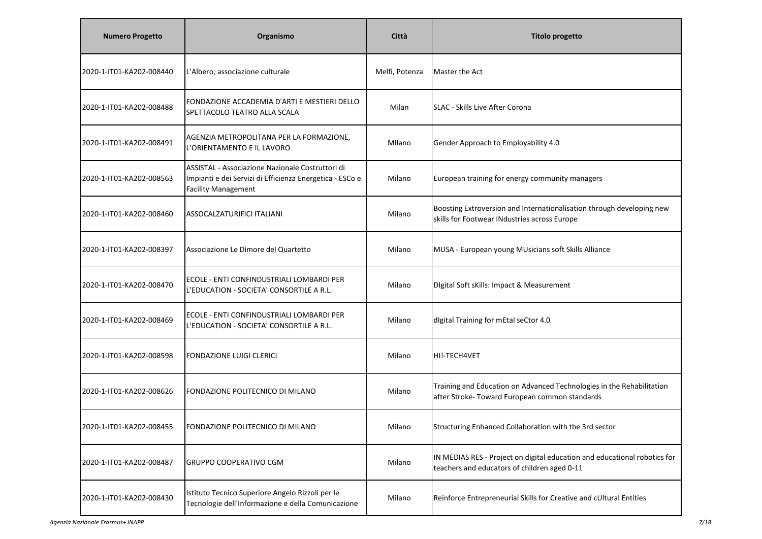| <b>Numero Progetto</b>   | Organismo                                                                                                                                  | Città          | <b>Titolo progetto</b>                                                                                                    |
|--------------------------|--------------------------------------------------------------------------------------------------------------------------------------------|----------------|---------------------------------------------------------------------------------------------------------------------------|
| 2020-1-IT01-KA202-008440 | L'Albero, associazione culturale                                                                                                           | Melfi, Potenza | Master the Act                                                                                                            |
| 2020-1-IT01-KA202-008488 | FONDAZIONE ACCADEMIA D'ARTI E MESTIERI DELLO<br>SPETTACOLO TEATRO ALLA SCALA                                                               | Milan          | SLAC - Skills Live After Corona                                                                                           |
| 2020-1-IT01-KA202-008491 | AGENZIA METROPOLITANA PER LA FORMAZIONE,<br>L'ORIENTAMENTO E IL LAVORO                                                                     | Milano         | Gender Approach to Employability 4.0                                                                                      |
| 2020-1-IT01-KA202-008563 | ASSISTAL - Associazione Nazionale Costruttori di<br>Impianti e dei Servizi di Efficienza Energetica - ESCo e<br><b>Facility Management</b> | Milano         | European training for energy community managers                                                                           |
| 2020-1-IT01-KA202-008460 | ASSOCALZATURIFICI ITALIANI                                                                                                                 | Milano         | Boosting Extroversion and Internationalisation through developing new<br>skills for Footwear INdustries across Europe     |
| 2020-1-IT01-KA202-008397 | Associazione Le Dimore del Quartetto                                                                                                       | Milano         | MUSA - European young MUsicians soft Skills Alliance                                                                      |
| 2020-1-IT01-KA202-008470 | ECOLE - ENTI CONFINDUSTRIALI LOMBARDI PER<br>L'EDUCATION - SOCIETA' CONSORTILE A R.L.                                                      | Milano         | Digital Soft sKills: Impact & Measurement                                                                                 |
| 2020-1-IT01-KA202-008469 | ECOLE - ENTI CONFINDUSTRIALI LOMBARDI PER<br>L'EDUCATION - SOCIETA' CONSORTILE A R.L.                                                      | Milano         | digital Training for mEtal seCtor 4.0                                                                                     |
| 2020-1-IT01-KA202-008598 | <b>FONDAZIONE LUIGI CLERICI</b>                                                                                                            | Milano         | HI!-TECH4VET                                                                                                              |
| 2020-1-IT01-KA202-008626 | FONDAZIONE POLITECNICO DI MILANO                                                                                                           | Milano         | Training and Education on Advanced Technologies in the Rehabilitation<br>after Stroke- Toward European common standards   |
| 2020-1-IT01-KA202-008455 | FONDAZIONE POLITECNICO DI MILANO                                                                                                           | Milano         | Structuring Enhanced Collaboration with the 3rd sector                                                                    |
| 2020-1-IT01-KA202-008487 | <b>GRUPPO COOPERATIVO CGM</b>                                                                                                              | Milano         | IN MEDIAS RES - Project on digital education and educational robotics for<br>teachers and educators of children aged 0-11 |
| 2020-1-IT01-KA202-008430 | Istituto Tecnico Superiore Angelo Rizzoli per le<br>Tecnologie dell'Informazione e della Comunicazione                                     | Milano         | Reinforce Entrepreneurial Skills for Creative and cUltural Entities                                                       |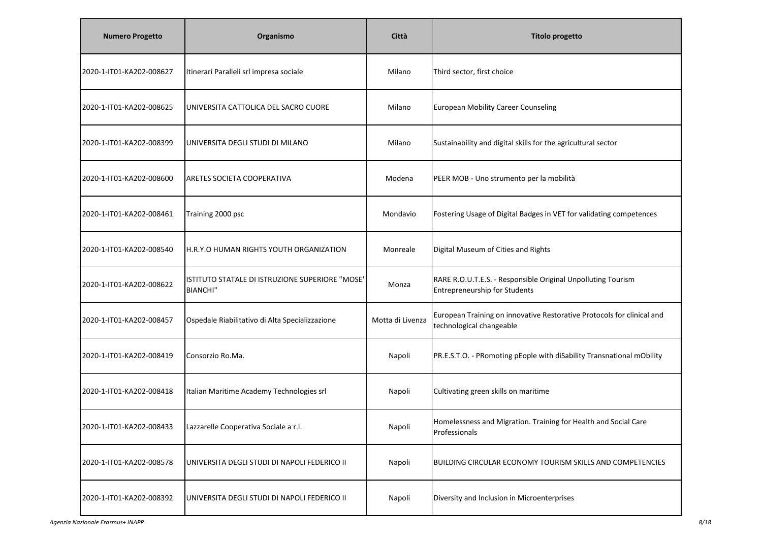| <b>Numero Progetto</b>   | Organismo                                                          | Città            | <b>Titolo progetto</b>                                                                               |
|--------------------------|--------------------------------------------------------------------|------------------|------------------------------------------------------------------------------------------------------|
| 2020-1-IT01-KA202-008627 | Itinerari Paralleli srl impresa sociale                            | Milano           | Third sector, first choice                                                                           |
| 2020-1-IT01-KA202-008625 | UNIVERSITA CATTOLICA DEL SACRO CUORE                               | Milano           | <b>European Mobility Career Counseling</b>                                                           |
| 2020-1-IT01-KA202-008399 | UNIVERSITA DEGLI STUDI DI MILANO                                   | Milano           | Sustainability and digital skills for the agricultural sector                                        |
| 2020-1-IT01-KA202-008600 | <b>ARETES SOCIETA COOPERATIVA</b>                                  | Modena           | PEER MOB - Uno strumento per la mobilità                                                             |
| 2020-1-IT01-KA202-008461 | Training 2000 psc                                                  | Mondavio         | Fostering Usage of Digital Badges in VET for validating competences                                  |
| 2020-1-IT01-KA202-008540 | H.R.Y.O HUMAN RIGHTS YOUTH ORGANIZATION                            | Monreale         | Digital Museum of Cities and Rights                                                                  |
| 2020-1-IT01-KA202-008622 | ISTITUTO STATALE DI ISTRUZIONE SUPERIORE "MOSE"<br><b>BIANCHI"</b> | Monza            | RARE R.O.U.T.E.S. - Responsible Original Unpolluting Tourism<br><b>Entrepreneurship for Students</b> |
| 2020-1-IT01-KA202-008457 | Ospedale Riabilitativo di Alta Specializzazione                    | Motta di Livenza | European Training on innovative Restorative Protocols for clinical and<br>technological changeable   |
| 2020-1-IT01-KA202-008419 | Consorzio Ro.Ma.                                                   | Napoli           | PR.E.S.T.O. - PRomoting pEople with diSability Transnational mObility                                |
| 2020-1-IT01-KA202-008418 | Italian Maritime Academy Technologies srl                          | Napoli           | Cultivating green skills on maritime                                                                 |
| 2020-1-IT01-KA202-008433 | Lazzarelle Cooperativa Sociale a r.l.                              | Napoli           | Homelessness and Migration. Training for Health and Social Care<br>Professionals                     |
| 2020-1-IT01-KA202-008578 | UNIVERSITA DEGLI STUDI DI NAPOLI FEDERICO II                       | Napoli           | <b>BUILDING CIRCULAR ECONOMY TOURISM SKILLS AND COMPETENCIES</b>                                     |
| 2020-1-IT01-KA202-008392 | UNIVERSITA DEGLI STUDI DI NAPOLI FEDERICO II                       | Napoli           | Diversity and Inclusion in Microenterprises                                                          |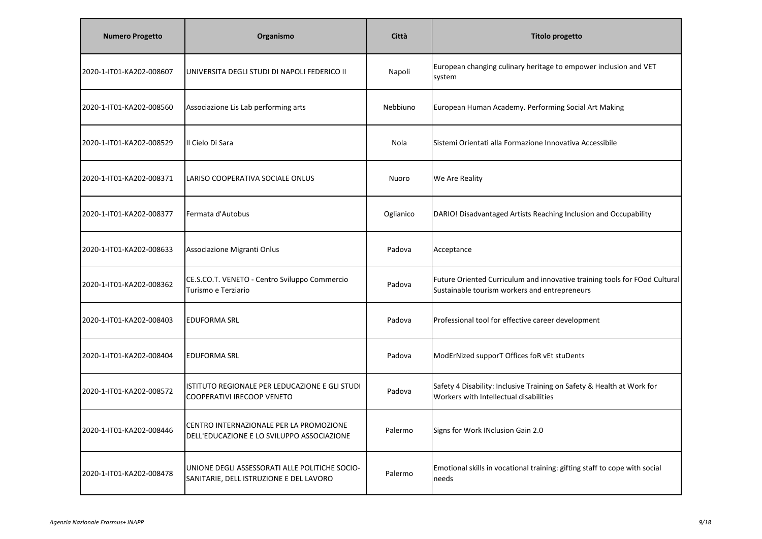| <b>Numero Progetto</b>   | Organismo                                                                                 | Città     | <b>Titolo progetto</b>                                                                                                      |
|--------------------------|-------------------------------------------------------------------------------------------|-----------|-----------------------------------------------------------------------------------------------------------------------------|
| 2020-1-IT01-KA202-008607 | UNIVERSITA DEGLI STUDI DI NAPOLI FEDERICO II                                              | Napoli    | European changing culinary heritage to empower inclusion and VET<br>system                                                  |
| 2020-1-IT01-KA202-008560 | Associazione Lis Lab performing arts                                                      | Nebbiuno  | European Human Academy. Performing Social Art Making                                                                        |
| 2020-1-IT01-KA202-008529 | Il Cielo Di Sara                                                                          | Nola      | Sistemi Orientati alla Formazione Innovativa Accessibile                                                                    |
| 2020-1-IT01-KA202-008371 | LARISO COOPERATIVA SOCIALE ONLUS                                                          | Nuoro     | We Are Reality                                                                                                              |
| 2020-1-IT01-KA202-008377 | Fermata d'Autobus                                                                         | Oglianico | DARIO! Disadvantaged Artists Reaching Inclusion and Occupability                                                            |
| 2020-1-IT01-KA202-008633 | Associazione Migranti Onlus                                                               | Padova    | Acceptance                                                                                                                  |
| 2020-1-IT01-KA202-008362 | CE.S.CO.T. VENETO - Centro Sviluppo Commercio<br>Turismo e Terziario                      | Padova    | Future Oriented Curriculum and innovative training tools for FOod Cultural<br>Sustainable tourism workers and entrepreneurs |
| 2020-1-IT01-KA202-008403 | <b>EDUFORMA SRL</b>                                                                       | Padova    | Professional tool for effective career development                                                                          |
| 2020-1-IT01-KA202-008404 | <b>EDUFORMA SRL</b>                                                                       | Padova    | ModErNized supporT Offices foR vEt stuDents                                                                                 |
| 2020-1-IT01-KA202-008572 | ISTITUTO REGIONALE PER LEDUCAZIONE E GLI STUDI<br>COOPERATIVI IRECOOP VENETO              | Padova    | Safety 4 Disability: Inclusive Training on Safety & Health at Work for<br>Workers with Intellectual disabilities            |
| 2020-1-IT01-KA202-008446 | CENTRO INTERNAZIONALE PER LA PROMOZIONE<br>DELL'EDUCAZIONE E LO SVILUPPO ASSOCIAZIONE     | Palermo   | Signs for Work INclusion Gain 2.0                                                                                           |
| 2020-1-IT01-KA202-008478 | UNIONE DEGLI ASSESSORATI ALLE POLITICHE SOCIO-<br>SANITARIE, DELL ISTRUZIONE E DEL LAVORO | Palermo   | Emotional skills in vocational training: gifting staff to cope with social<br>needs                                         |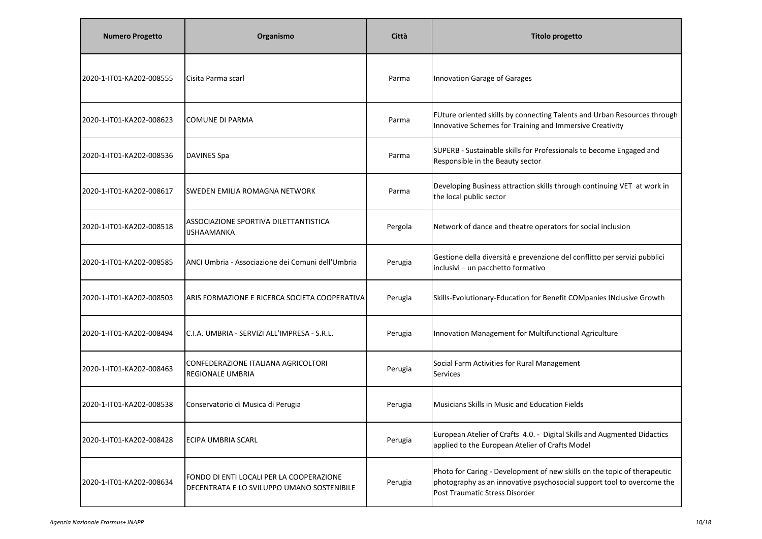| <b>Numero Progetto</b>   | Organismo                                                                              | Città   | <b>Titolo progetto</b>                                                                                                                                                               |
|--------------------------|----------------------------------------------------------------------------------------|---------|--------------------------------------------------------------------------------------------------------------------------------------------------------------------------------------|
| 2020-1-IT01-KA202-008555 | Cisita Parma scarl                                                                     | Parma   | Innovation Garage of Garages                                                                                                                                                         |
| 2020-1-IT01-KA202-008623 | <b>COMUNE DI PARMA</b>                                                                 | Parma   | FUture oriented skills by connecting Talents and Urban Resources through<br>Innovative Schemes for Training and Immersive Creativity                                                 |
| 2020-1-IT01-KA202-008536 | DAVINES Spa                                                                            | Parma   | SUPERB - Sustainable skills for Professionals to become Engaged and<br>Responsible in the Beauty sector                                                                              |
| 2020-1-IT01-KA202-008617 | SWEDEN EMILIA ROMAGNA NETWORK                                                          | Parma   | Developing Business attraction skills through continuing VET at work in<br>the local public sector                                                                                   |
| 2020-1-IT01-KA202-008518 | ASSOCIAZIONE SPORTIVA DILETTANTISTICA<br><b>IJSHAAMANKA</b>                            | Pergola | Network of dance and theatre operators for social inclusion                                                                                                                          |
| 2020-1-IT01-KA202-008585 | ANCI Umbria - Associazione dei Comuni dell'Umbria                                      | Perugia | Gestione della diversità e prevenzione del conflitto per servizi pubblici<br>inclusivi - un pacchetto formativo                                                                      |
| 2020-1-IT01-KA202-008503 | ARIS FORMAZIONE E RICERCA SOCIETA COOPERATIVA                                          | Perugia | Skills-Evolutionary-Education for Benefit COMpanies INclusive Growth                                                                                                                 |
| 2020-1-IT01-KA202-008494 | C.I.A. UMBRIA - SERVIZI ALL'IMPRESA - S.R.L.                                           | Perugia | Innovation Management for Multifunctional Agriculture                                                                                                                                |
| 2020-1-IT01-KA202-008463 | CONFEDERAZIONE ITALIANA AGRICOLTORI<br><b>REGIONALE UMBRIA</b>                         | Perugia | Social Farm Activities for Rural Management<br><b>Services</b>                                                                                                                       |
| 2020-1-IT01-KA202-008538 | Conservatorio di Musica di Perugia                                                     | Perugia | Musicians Skills in Music and Education Fields                                                                                                                                       |
| 2020-1-IT01-KA202-008428 | <b>ECIPA UMBRIA SCARL</b>                                                              | Perugia | European Atelier of Crafts 4.0. - Digital Skills and Augmented Didactics<br>applied to the European Atelier of Crafts Model                                                          |
| 2020-1-IT01-KA202-008634 | FONDO DI ENTI LOCALI PER LA COOPERAZIONE<br>DECENTRATA E LO SVILUPPO UMANO SOSTENIBILE | Perugia | Photo for Caring - Development of new skills on the topic of therapeutic<br>photography as an innovative psychosocial support tool to overcome the<br>Post Traumatic Stress Disorder |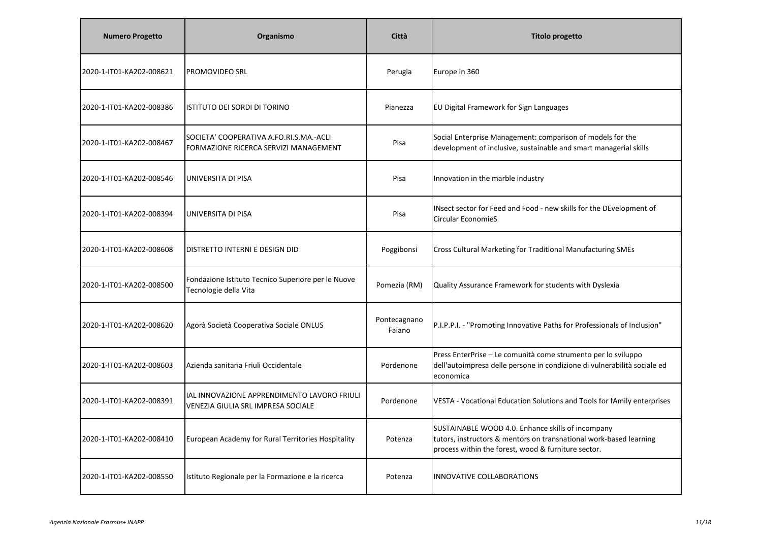| <b>Numero Progetto</b>   | Organismo                                                                         | Città                  | <b>Titolo progetto</b>                                                                                                                                                         |
|--------------------------|-----------------------------------------------------------------------------------|------------------------|--------------------------------------------------------------------------------------------------------------------------------------------------------------------------------|
| 2020-1-IT01-KA202-008621 | <b>PROMOVIDEO SRL</b>                                                             | Perugia                | Europe in 360                                                                                                                                                                  |
| 2020-1-IT01-KA202-008386 | ISTITUTO DEI SORDI DI TORINO                                                      | Pianezza               | EU Digital Framework for Sign Languages                                                                                                                                        |
| 2020-1-IT01-KA202-008467 | SOCIETA' COOPERATIVA A.FO.RI.S.MA.-ACLI<br>FORMAZIONE RICERCA SERVIZI MANAGEMENT  | Pisa                   | Social Enterprise Management: comparison of models for the<br>development of inclusive, sustainable and smart managerial skills                                                |
| 2020-1-IT01-KA202-008546 | UNIVERSITA DI PISA                                                                | Pisa                   | Innovation in the marble industry                                                                                                                                              |
| 2020-1-IT01-KA202-008394 | UNIVERSITA DI PISA                                                                | Pisa                   | INsect sector for Feed and Food - new skills for the DEvelopment of<br><b>Circular EconomieS</b>                                                                               |
| 2020-1-IT01-KA202-008608 | <b>DISTRETTO INTERNI E DESIGN DID</b>                                             | Poggibonsi             | Cross Cultural Marketing for Traditional Manufacturing SMEs                                                                                                                    |
| 2020-1-IT01-KA202-008500 | Fondazione Istituto Tecnico Superiore per le Nuove<br>Tecnologie della Vita       | Pomezia (RM)           | Quality Assurance Framework for students with Dyslexia                                                                                                                         |
| 2020-1-IT01-KA202-008620 | Agorà Società Cooperativa Sociale ONLUS                                           | Pontecagnano<br>Faiano | P.I.P.P.I. - "Promoting Innovative Paths for Professionals of Inclusion"                                                                                                       |
| 2020-1-IT01-KA202-008603 | Azienda sanitaria Friuli Occidentale                                              | Pordenone              | Press EnterPrise - Le comunità come strumento per lo sviluppo<br>dell'autoimpresa delle persone in condizione di vulnerabilità sociale ed<br>economica                         |
| 2020-1-IT01-KA202-008391 | IAL INNOVAZIONE APPRENDIMENTO LAVORO FRIULI<br>VENEZIA GIULIA SRL IMPRESA SOCIALE | Pordenone              | VESTA - Vocational Education Solutions and Tools for fAmily enterprises                                                                                                        |
| 2020-1-IT01-KA202-008410 | European Academy for Rural Territories Hospitality                                | Potenza                | SUSTAINABLE WOOD 4.0. Enhance skills of incompany<br>tutors, instructors & mentors on transnational work-based learning<br>process within the forest, wood & furniture sector. |
| 2020-1-IT01-KA202-008550 | Istituto Regionale per la Formazione e la ricerca                                 | Potenza                | INNOVATIVE COLLABORATIONS                                                                                                                                                      |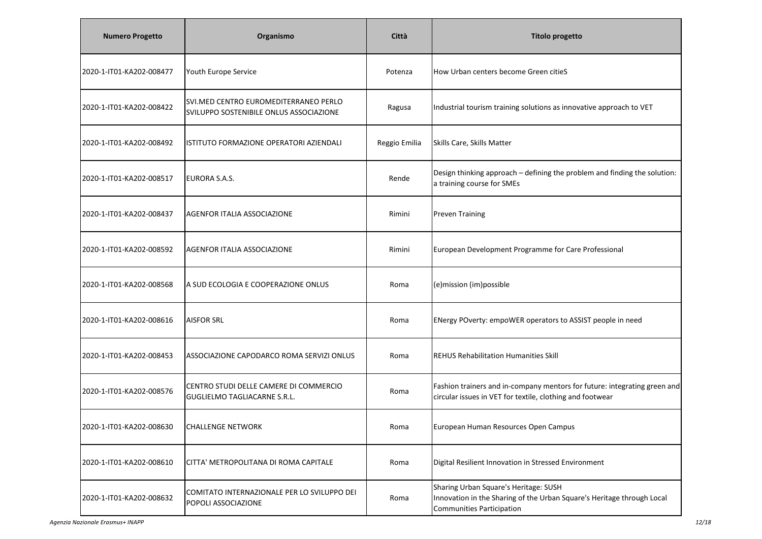| <b>Numero Progetto</b>   | Organismo                                                                        | Città         | <b>Titolo progetto</b>                                                                                                                              |
|--------------------------|----------------------------------------------------------------------------------|---------------|-----------------------------------------------------------------------------------------------------------------------------------------------------|
| 2020-1-IT01-KA202-008477 | Youth Europe Service                                                             | Potenza       | How Urban centers become Green citieS                                                                                                               |
| 2020-1-IT01-KA202-008422 | SVI.MED CENTRO EUROMEDITERRANEO PERLO<br>SVILUPPO SOSTENIBILE ONLUS ASSOCIAZIONE | Ragusa        | Industrial tourism training solutions as innovative approach to VET                                                                                 |
| 2020-1-IT01-KA202-008492 | ISTITUTO FORMAZIONE OPERATORI AZIENDALI                                          | Reggio Emilia | Skills Care, Skills Matter                                                                                                                          |
| 2020-1-IT01-KA202-008517 | EURORA S.A.S.                                                                    | Rende         | Design thinking approach - defining the problem and finding the solution:<br>a training course for SMEs                                             |
| 2020-1-IT01-KA202-008437 | AGENFOR ITALIA ASSOCIAZIONE                                                      | Rimini        | <b>Preven Training</b>                                                                                                                              |
| 2020-1-IT01-KA202-008592 | AGENFOR ITALIA ASSOCIAZIONE                                                      | Rimini        | European Development Programme for Care Professional                                                                                                |
| 2020-1-IT01-KA202-008568 | A SUD ECOLOGIA E COOPERAZIONE ONLUS                                              | Roma          | (e)mission (im)possible                                                                                                                             |
| 2020-1-IT01-KA202-008616 | <b>AISFOR SRL</b>                                                                | Roma          | ENergy POverty: empoWER operators to ASSIST people in need                                                                                          |
| 2020-1-IT01-KA202-008453 | ASSOCIAZIONE CAPODARCO ROMA SERVIZI ONLUS                                        | Roma          | <b>REHUS Rehabilitation Humanities Skill</b>                                                                                                        |
| 2020-1-IT01-KA202-008576 | CENTRO STUDI DELLE CAMERE DI COMMERCIO<br><b>GUGLIELMO TAGLIACARNE S.R.L.</b>    | Roma          | Fashion trainers and in-company mentors for future: integrating green and<br>circular issues in VET for textile, clothing and footwear              |
| 2020-1-IT01-KA202-008630 | <b>CHALLENGE NETWORK</b>                                                         | Roma          | European Human Resources Open Campus                                                                                                                |
| 2020-1-IT01-KA202-008610 | CITTA' METROPOLITANA DI ROMA CAPITALE                                            | Roma          | Digital Resilient Innovation in Stressed Environment                                                                                                |
| 2020-1-IT01-KA202-008632 | COMITATO INTERNAZIONALE PER LO SVILUPPO DEI<br>POPOLI ASSOCIAZIONE               | Roma          | Sharing Urban Square's Heritage: SUSH<br>Innovation in the Sharing of the Urban Square's Heritage through Local<br><b>Communities Participation</b> |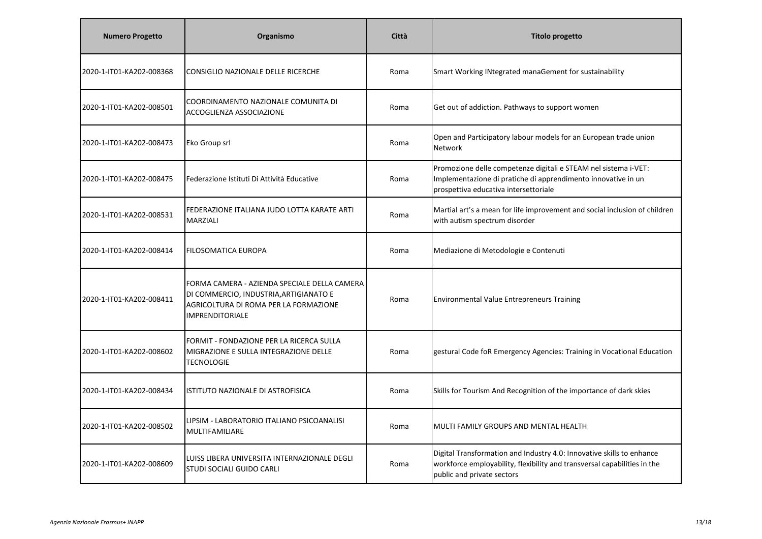| <b>Numero Progetto</b>   | Organismo                                                                                                                                          | Città | <b>Titolo progetto</b>                                                                                                                                                          |
|--------------------------|----------------------------------------------------------------------------------------------------------------------------------------------------|-------|---------------------------------------------------------------------------------------------------------------------------------------------------------------------------------|
| 2020-1-IT01-KA202-008368 | CONSIGLIO NAZIONALE DELLE RICERCHE                                                                                                                 | Roma  | Smart Working INtegrated manaGement for sustainability                                                                                                                          |
| 2020-1-IT01-KA202-008501 | COORDINAMENTO NAZIONALE COMUNITA DI<br>ACCOGLIENZA ASSOCIAZIONE                                                                                    | Roma  | Get out of addiction. Pathways to support women                                                                                                                                 |
| 2020-1-IT01-KA202-008473 | Eko Group srl                                                                                                                                      | Roma  | Open and Participatory labour models for an European trade union<br>Network                                                                                                     |
| 2020-1-IT01-KA202-008475 | lFederazione Istituti Di Attività Educative                                                                                                        | Roma  | Promozione delle competenze digitali e STEAM nel sistema i-VET:<br>Implementazione di pratiche di apprendimento innovative in un<br>prospettiva educativa intersettoriale       |
| 2020-1-IT01-KA202-008531 | FEDERAZIONE ITALIANA JUDO LOTTA KARATE ARTI<br><b>MARZIALI</b>                                                                                     | Roma  | Martial art's a mean for life improvement and social inclusion of children<br>with autism spectrum disorder                                                                     |
| 2020-1-IT01-KA202-008414 | <b>I</b> FILOSOMATICA EUROPA                                                                                                                       | Roma  | Mediazione di Metodologie e Contenuti                                                                                                                                           |
| 2020-1-IT01-KA202-008411 | FORMA CAMERA - AZIENDA SPECIALE DELLA CAMERA<br>DI COMMERCIO, INDUSTRIA, ARTIGIANATO E<br>AGRICOLTURA DI ROMA PER LA FORMAZIONE<br>IMPRENDITORIALE | Roma  | <b>Environmental Value Entrepreneurs Training</b>                                                                                                                               |
| 2020-1-IT01-KA202-008602 | FORMIT - FONDAZIONE PER LA RICERCA SULLA<br>MIGRAZIONE E SULLA INTEGRAZIONE DELLE<br><b>TECNOLOGIE</b>                                             | Roma  | gestural Code foR Emergency Agencies: Training in Vocational Education                                                                                                          |
| 2020-1-IT01-KA202-008434 | ISTITUTO NAZIONALE DI ASTROFISICA                                                                                                                  | Roma  | Skills for Tourism And Recognition of the importance of dark skies                                                                                                              |
| 2020-1-IT01-KA202-008502 | LIPSIM - LABORATORIO ITALIANO PSICOANALISI<br>MULTIFAMILIARE                                                                                       | Roma  | MULTI FAMILY GROUPS AND MENTAL HEALTH                                                                                                                                           |
| 2020-1-IT01-KA202-008609 | LUISS LIBERA UNIVERSITA INTERNAZIONALE DEGLI<br><b>STUDI SOCIALI GUIDO CARLI</b>                                                                   | Roma  | Digital Transformation and Industry 4.0: Innovative skills to enhance<br>workforce employability, flexibility and transversal capabilities in the<br>public and private sectors |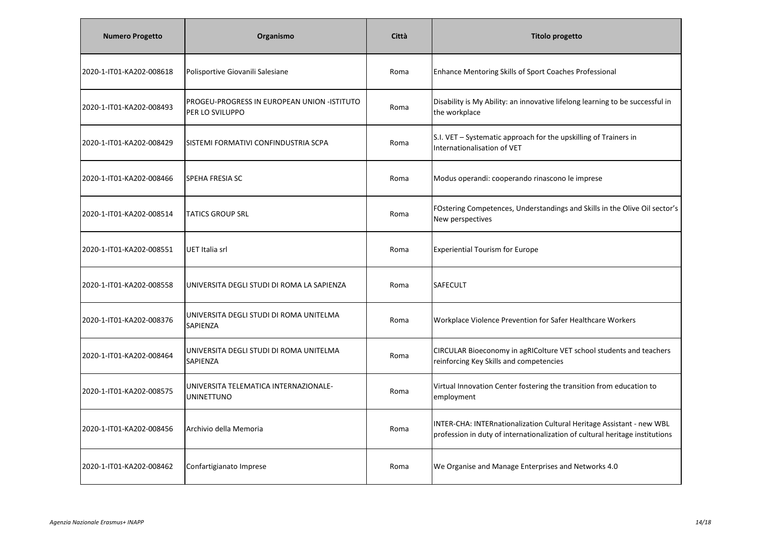| <b>Numero Progetto</b>   | Organismo                                                      | Città | Titolo progetto                                                                                                                                       |
|--------------------------|----------------------------------------------------------------|-------|-------------------------------------------------------------------------------------------------------------------------------------------------------|
| 2020-1-IT01-KA202-008618 | Polisportive Giovanili Salesiane                               | Roma  | Enhance Mentoring Skills of Sport Coaches Professional                                                                                                |
| 2020-1-IT01-KA202-008493 | PROGEU-PROGRESS IN EUROPEAN UNION -ISTITUTO<br>PER LO SVILUPPO | Roma  | Disability is My Ability: an innovative lifelong learning to be successful in<br>the workplace                                                        |
| 2020-1-IT01-KA202-008429 | SISTEMI FORMATIVI CONFINDUSTRIA SCPA                           | Roma  | S.I. VET - Systematic approach for the upskilling of Trainers in<br>Internationalisation of VET                                                       |
| 2020-1-IT01-KA202-008466 | <b>SPEHA FRESIA SC</b>                                         | Roma  | Modus operandi: cooperando rinascono le imprese                                                                                                       |
| 2020-1-IT01-KA202-008514 | <b>TATICS GROUP SRL</b>                                        | Roma  | FOstering Competences, Understandings and Skills in the Olive Oil sector's<br>New perspectives                                                        |
| 2020-1-IT01-KA202-008551 | UET Italia srl                                                 | Roma  | <b>Experiential Tourism for Europe</b>                                                                                                                |
| 2020-1-IT01-KA202-008558 | UNIVERSITA DEGLI STUDI DI ROMA LA SAPIENZA                     | Roma  | <b>SAFECULT</b>                                                                                                                                       |
| 2020-1-IT01-KA202-008376 | UNIVERSITA DEGLI STUDI DI ROMA UNITELMA<br>SAPIENZA            | Roma  | Workplace Violence Prevention for Safer Healthcare Workers                                                                                            |
| 2020-1-IT01-KA202-008464 | UNIVERSITA DEGLI STUDI DI ROMA UNITELMA<br>SAPIENZA            | Roma  | CIRCULAR Bioeconomy in agRIColture VET school students and teachers<br>reinforcing Key Skills and competencies                                        |
| 2020-1-IT01-KA202-008575 | UNIVERSITA TELEMATICA INTERNAZIONALE-<br><b>UNINETTUNO</b>     | Roma  | Virtual Innovation Center fostering the transition from education to<br>employment                                                                    |
| 2020-1-IT01-KA202-008456 | Archivio della Memoria                                         | Roma  | INTER-CHA: INTERnationalization Cultural Heritage Assistant - new WBL<br>profession in duty of internationalization of cultural heritage institutions |
| 2020-1-IT01-KA202-008462 | Confartigianato Imprese                                        | Roma  | We Organise and Manage Enterprises and Networks 4.0                                                                                                   |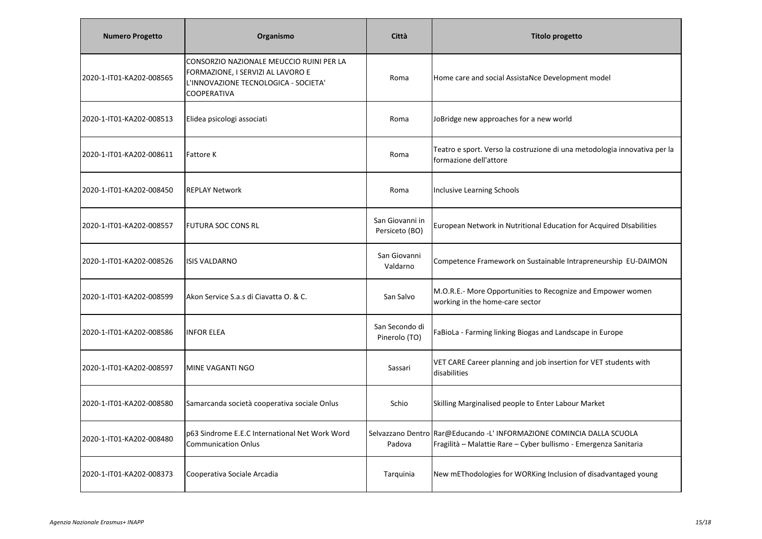| <b>Numero Progetto</b>   | Organismo                                                                                                                            | Città                             | <b>Titolo progetto</b>                                                                                                                    |
|--------------------------|--------------------------------------------------------------------------------------------------------------------------------------|-----------------------------------|-------------------------------------------------------------------------------------------------------------------------------------------|
| 2020-1-IT01-KA202-008565 | CONSORZIO NAZIONALE MEUCCIO RUINI PER LA<br>FORMAZIONE, I SERVIZI AL LAVORO E<br>L'INNOVAZIONE TECNOLOGICA - SOCIETA'<br>COOPERATIVA | Roma                              | Home care and social AssistaNce Development model                                                                                         |
| 2020-1-IT01-KA202-008513 | Elidea psicologi associati                                                                                                           | Roma                              | JoBridge new approaches for a new world                                                                                                   |
| 2020-1-IT01-KA202-008611 | <b>Fattore K</b>                                                                                                                     | Roma                              | Teatro e sport. Verso la costruzione di una metodologia innovativa per la<br>formazione dell'attore                                       |
| 2020-1-IT01-KA202-008450 | <b>REPLAY Network</b>                                                                                                                | Roma                              | <b>Inclusive Learning Schools</b>                                                                                                         |
| 2020-1-IT01-KA202-008557 | <b>FUTURA SOC CONS RL</b>                                                                                                            | San Giovanni in<br>Persiceto (BO) | European Network in Nutritional Education for Acquired DIsabilities                                                                       |
| 2020-1-IT01-KA202-008526 | <b>ISIS VALDARNO</b>                                                                                                                 | San Giovanni<br>Valdarno          | Competence Framework on Sustainable Intrapreneurship EU-DAIMON                                                                            |
| 2020-1-IT01-KA202-008599 | Akon Service S.a.s di Ciavatta O. & C.                                                                                               | San Salvo                         | M.O.R.E.- More Opportunities to Recognize and Empower women<br>working in the home-care sector                                            |
| 2020-1-IT01-KA202-008586 | <b>INFOR ELEA</b>                                                                                                                    | San Secondo di<br>Pinerolo (TO)   | FaBioLa - Farming linking Biogas and Landscape in Europe                                                                                  |
| 2020-1-IT01-KA202-008597 | MINE VAGANTI NGO                                                                                                                     | Sassari                           | VET CARE Career planning and job insertion for VET students with<br>disabilities                                                          |
| 2020-1-IT01-KA202-008580 | Samarcanda società cooperativa sociale Onlus                                                                                         | Schio                             | Skilling Marginalised people to Enter Labour Market                                                                                       |
| 2020-1-IT01-KA202-008480 | p63 Sindrome E.E.C International Net Work Word<br><b>Communication Onlus</b>                                                         | Padova                            | Selvazzano Dentro Rar@Educando -L' INFORMAZIONE COMINCIA DALLA SCUOLA<br>Fragilità - Malattie Rare - Cyber bullismo - Emergenza Sanitaria |
| 2020-1-IT01-KA202-008373 | Cooperativa Sociale Arcadia                                                                                                          | Tarquinia                         | New mEThodologies for WORKing Inclusion of disadvantaged young                                                                            |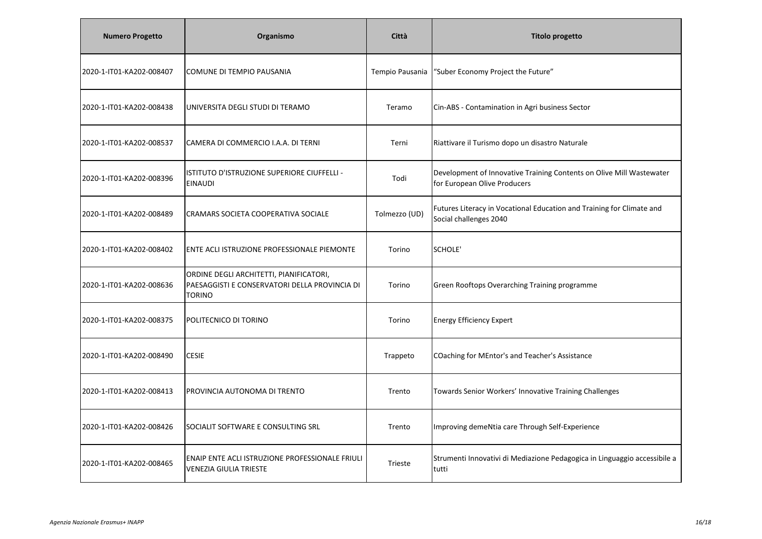| <b>Numero Progetto</b>   | Organismo                                                                                                 | Città           | <b>Titolo progetto</b>                                                                               |
|--------------------------|-----------------------------------------------------------------------------------------------------------|-----------------|------------------------------------------------------------------------------------------------------|
| 2020-1-IT01-KA202-008407 | COMUNE DI TEMPIO PAUSANIA                                                                                 | Tempio Pausania | "Suber Economy Project the Future"                                                                   |
| 2020-1-IT01-KA202-008438 | UNIVERSITA DEGLI STUDI DI TERAMO                                                                          | Teramo          | Cin-ABS - Contamination in Agri business Sector                                                      |
| 2020-1-IT01-KA202-008537 | CAMERA DI COMMERCIO I.A.A. DI TERNI                                                                       | Terni           | Riattivare il Turismo dopo un disastro Naturale                                                      |
| 2020-1-IT01-KA202-008396 | ISTITUTO D'ISTRUZIONE SUPERIORE CIUFFELLI -<br><b>EINAUDI</b>                                             | Todi            | Development of Innovative Training Contents on Olive Mill Wastewater<br>for European Olive Producers |
| 2020-1-IT01-KA202-008489 | CRAMARS SOCIETA COOPERATIVA SOCIALE                                                                       | Tolmezzo (UD)   | Futures Literacy in Vocational Education and Training for Climate and<br>Social challenges 2040      |
| 2020-1-IT01-KA202-008402 | ENTE ACLI ISTRUZIONE PROFESSIONALE PIEMONTE                                                               | Torino          | SCHOLE'                                                                                              |
| 2020-1-IT01-KA202-008636 | ORDINE DEGLI ARCHITETTI, PIANIFICATORI,<br>PAESAGGISTI E CONSERVATORI DELLA PROVINCIA DI<br><b>TORINO</b> | Torino          | Green Rooftops Overarching Training programme                                                        |
| 2020-1-IT01-KA202-008375 | POLITECNICO DI TORINO                                                                                     | Torino          | <b>Energy Efficiency Expert</b>                                                                      |
| 2020-1-IT01-KA202-008490 | <b>CESIE</b>                                                                                              | Trappeto        | COaching for MEntor's and Teacher's Assistance                                                       |
| 2020-1-IT01-KA202-008413 | PROVINCIA AUTONOMA DI TRENTO                                                                              | Trento          | Towards Senior Workers' Innovative Training Challenges                                               |
| 2020-1-IT01-KA202-008426 | SOCIALIT SOFTWARE E CONSULTING SRL                                                                        | Trento          | Improving demeNtia care Through Self-Experience                                                      |
| 2020-1-IT01-KA202-008465 | ENAIP ENTE ACLI ISTRUZIONE PROFESSIONALE FRIULI<br><b>VENEZIA GIULIA TRIESTE</b>                          | <b>Trieste</b>  | Strumenti Innovativi di Mediazione Pedagogica in Linguaggio accessibile a<br>tutti                   |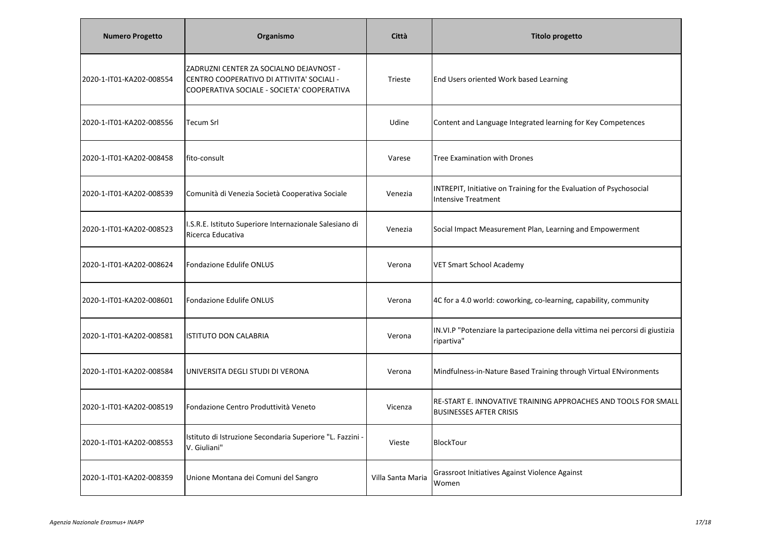| <b>Numero Progetto</b>   | Organismo                                                                                                                          | Città             | <b>Titolo progetto</b>                                                                            |
|--------------------------|------------------------------------------------------------------------------------------------------------------------------------|-------------------|---------------------------------------------------------------------------------------------------|
| 2020-1-IT01-KA202-008554 | ZADRUZNI CENTER ZA SOCIALNO DEJAVNOST -<br>CENTRO COOPERATIVO DI ATTIVITA' SOCIALI -<br>COOPERATIVA SOCIALE - SOCIETA' COOPERATIVA | Trieste           | End Users oriented Work based Learning                                                            |
| 2020-1-IT01-KA202-008556 | <b>Tecum Srl</b>                                                                                                                   | Udine             | Content and Language Integrated learning for Key Competences                                      |
| 2020-1-IT01-KA202-008458 | fito-consult                                                                                                                       | Varese            | <b>Tree Examination with Drones</b>                                                               |
| 2020-1-IT01-KA202-008539 | Comunità di Venezia Società Cooperativa Sociale                                                                                    | Venezia           | INTREPIT, Initiative on Training for the Evaluation of Psychosocial<br><b>Intensive Treatment</b> |
| 2020-1-IT01-KA202-008523 | I.S.R.E. Istituto Superiore Internazionale Salesiano di<br>Ricerca Educativa                                                       | Venezia           | Social Impact Measurement Plan, Learning and Empowerment                                          |
| 2020-1-IT01-KA202-008624 | Fondazione Edulife ONLUS                                                                                                           | Verona            | <b>VET Smart School Academy</b>                                                                   |
| 2020-1-IT01-KA202-008601 | Fondazione Edulife ONLUS                                                                                                           | Verona            | 4C for a 4.0 world: coworking, co-learning, capability, community                                 |
| 2020-1-IT01-KA202-008581 | <b>ISTITUTO DON CALABRIA</b>                                                                                                       | Verona            | IN.VI.P "Potenziare la partecipazione della vittima nei percorsi di giustizia<br>ripartiva"       |
| 2020-1-IT01-KA202-008584 | UNIVERSITA DEGLI STUDI DI VERONA                                                                                                   | Verona            | Mindfulness-in-Nature Based Training through Virtual ENvironments                                 |
| 2020-1-IT01-KA202-008519 | Fondazione Centro Produttività Veneto                                                                                              | Vicenza           | RE-START E. INNOVATIVE TRAINING APPROACHES AND TOOLS FOR SMALL<br><b>BUSINESSES AFTER CRISIS</b>  |
| 2020-1-IT01-KA202-008553 | Istituto di Istruzione Secondaria Superiore "L. Fazzini -<br>V. Giuliani"                                                          | Vieste            | BlockTour                                                                                         |
| 2020-1-IT01-KA202-008359 | Unione Montana dei Comuni del Sangro                                                                                               | Villa Santa Maria | Grassroot Initiatives Against Violence Against<br>Women                                           |